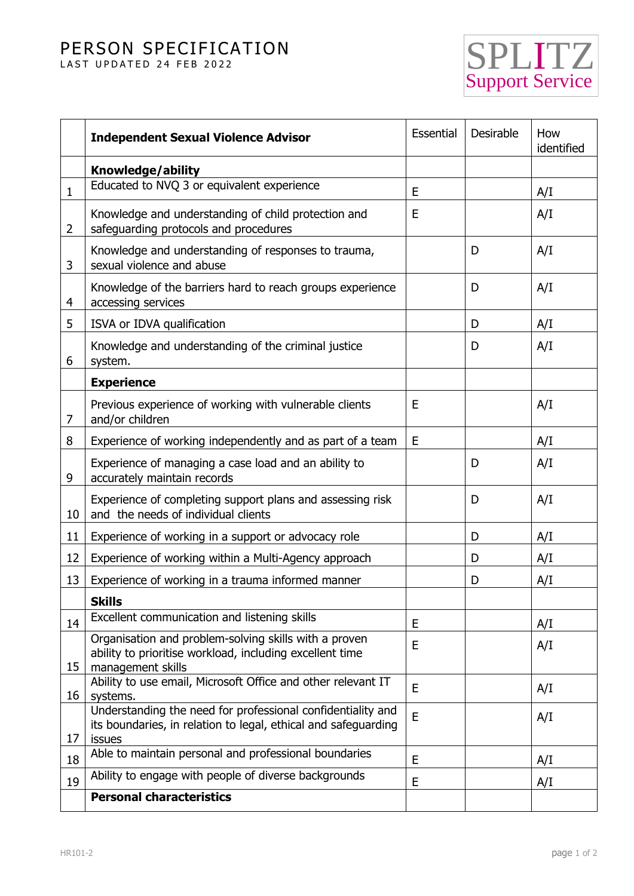## PERSON SPECIFICATION

LAST UPDATED 24 FEB 2022



|                | <b>Independent Sexual Violence Advisor</b>                                                                                              | Essential | Desirable | How<br>identified |
|----------------|-----------------------------------------------------------------------------------------------------------------------------------------|-----------|-----------|-------------------|
|                | Knowledge/ability                                                                                                                       |           |           |                   |
| $\mathbf{1}$   | Educated to NVQ 3 or equivalent experience                                                                                              | E         |           | A/I               |
| $\overline{2}$ | Knowledge and understanding of child protection and<br>safeguarding protocols and procedures                                            | E         |           | A/I               |
| 3              | Knowledge and understanding of responses to trauma,<br>sexual violence and abuse                                                        |           | D         | A/I               |
| 4              | Knowledge of the barriers hard to reach groups experience<br>accessing services                                                         |           | D         | A/I               |
| 5              | ISVA or IDVA qualification                                                                                                              |           | D         | A/I               |
| 6              | Knowledge and understanding of the criminal justice<br>system.                                                                          |           | D         | A/I               |
|                | <b>Experience</b>                                                                                                                       |           |           |                   |
| 7              | Previous experience of working with vulnerable clients<br>and/or children                                                               | E         |           | A/I               |
| 8              | Experience of working independently and as part of a team                                                                               | E         |           | A/I               |
| 9              | Experience of managing a case load and an ability to<br>accurately maintain records                                                     |           | D         | A/I               |
| 10             | Experience of completing support plans and assessing risk<br>and the needs of individual clients                                        |           | D         | A/I               |
| 11             | Experience of working in a support or advocacy role                                                                                     |           | D         | A/I               |
| 12             | Experience of working within a Multi-Agency approach                                                                                    |           | D         | A/I               |
| 13             | Experience of working in a trauma informed manner                                                                                       |           | D         | A/I               |
|                | <b>Skills</b>                                                                                                                           |           |           |                   |
| 14             | Excellent communication and listening skills                                                                                            | E         |           | A/I               |
| 15             | Organisation and problem-solving skills with a proven<br>ability to prioritise workload, including excellent time<br>management skills  | E         |           | A/I               |
| 16             | Ability to use email, Microsoft Office and other relevant IT<br>systems.                                                                | E         |           | A/I               |
| 17             | Understanding the need for professional confidentiality and<br>its boundaries, in relation to legal, ethical and safeguarding<br>issues | E         |           | A/I               |
| 18             | Able to maintain personal and professional boundaries                                                                                   | E         |           | A/I               |
| 19             | Ability to engage with people of diverse backgrounds                                                                                    | E         |           | A/I               |
|                | <b>Personal characteristics</b>                                                                                                         |           |           |                   |